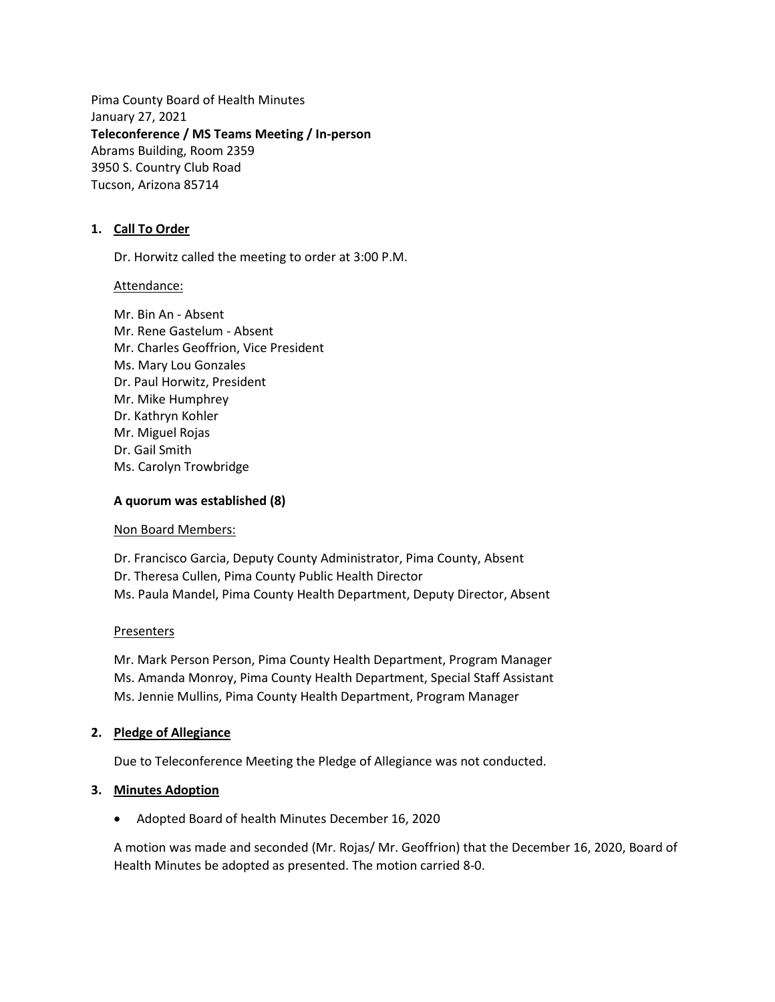Pima County Board of Health Minutes January 27, 2021 **Teleconference / MS Teams Meeting / In-person** Abrams Building, Room 2359 3950 S. Country Club Road Tucson, Arizona 85714

### **1. Call To Order**

Dr. Horwitz called the meeting to order at 3:00 P.M.

Attendance:

Mr. Bin An - Absent Mr. Rene Gastelum - Absent Mr. Charles Geoffrion, Vice President Ms. Mary Lou Gonzales Dr. Paul Horwitz, President Mr. Mike Humphrey Dr. Kathryn Kohler Mr. Miguel Rojas Dr. Gail Smith Ms. Carolyn Trowbridge

### **A quorum was established (8)**

Non Board Members:

Dr. Francisco Garcia, Deputy County Administrator, Pima County, Absent Dr. Theresa Cullen, Pima County Public Health Director Ms. Paula Mandel, Pima County Health Department, Deputy Director, Absent

### Presenters

Mr. Mark Person Person, Pima County Health Department, Program Manager Ms. Amanda Monroy, Pima County Health Department, Special Staff Assistant Ms. Jennie Mullins, Pima County Health Department, Program Manager

### **2. Pledge of Allegiance**

Due to Teleconference Meeting the Pledge of Allegiance was not conducted.

### **3. Minutes Adoption**

• Adopted Board of health Minutes December 16, 2020

A motion was made and seconded (Mr. Rojas/ Mr. Geoffrion) that the December 16, 2020, Board of Health Minutes be adopted as presented. The motion carried 8-0.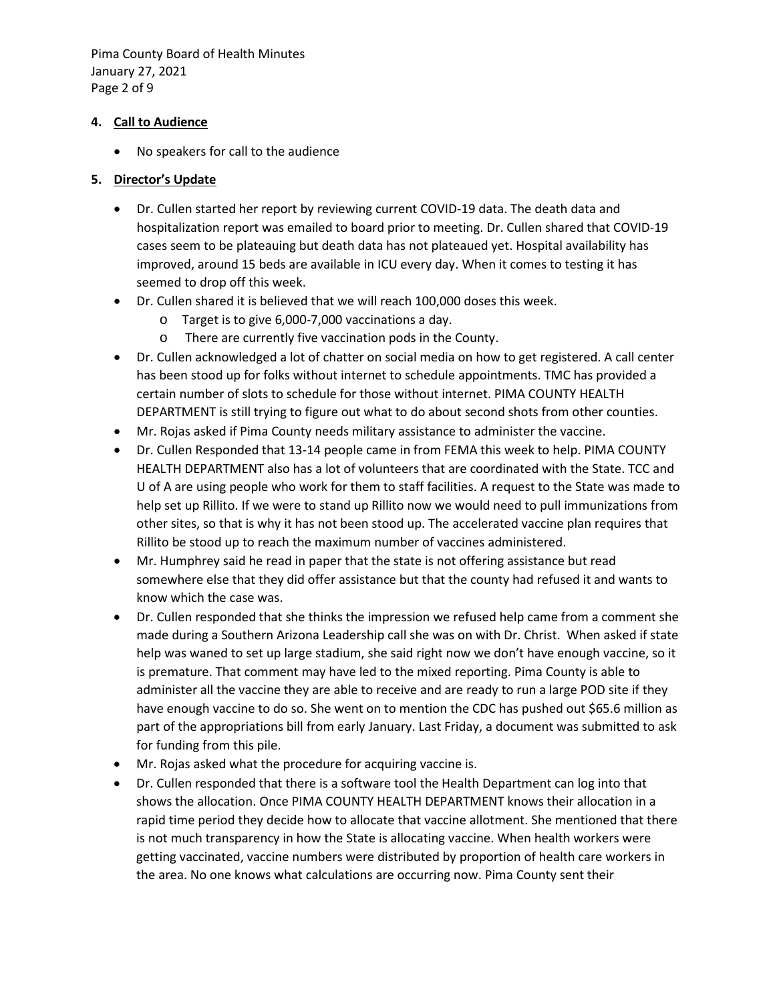Pima County Board of Health Minutes January 27, 2021 Page 2 of 9

### **4. Call to Audience**

• No speakers for call to the audience

### **5. Director's Update**

- Dr. Cullen started her report by reviewing current COVID-19 data. The death data and hospitalization report was emailed to board prior to meeting. Dr. Cullen shared that COVID-19 cases seem to be plateauing but death data has not plateaued yet. Hospital availability has improved, around 15 beds are available in ICU every day. When it comes to testing it has seemed to drop off this week.
- Dr. Cullen shared it is believed that we will reach 100,000 doses this week.
	- o Target is to give 6,000-7,000 vaccinations a day.
	- o There are currently five vaccination pods in the County.
- Dr. Cullen acknowledged a lot of chatter on social media on how to get registered. A call center has been stood up for folks without internet to schedule appointments. TMC has provided a certain number of slots to schedule for those without internet. PIMA COUNTY HEALTH DEPARTMENT is still trying to figure out what to do about second shots from other counties.
- Mr. Rojas asked if Pima County needs military assistance to administer the vaccine.
- Dr. Cullen Responded that 13-14 people came in from FEMA this week to help. PIMA COUNTY HEALTH DEPARTMENT also has a lot of volunteers that are coordinated with the State. TCC and U of A are using people who work for them to staff facilities. A request to the State was made to help set up Rillito. If we were to stand up Rillito now we would need to pull immunizations from other sites, so that is why it has not been stood up. The accelerated vaccine plan requires that Rillito be stood up to reach the maximum number of vaccines administered.
- Mr. Humphrey said he read in paper that the state is not offering assistance but read somewhere else that they did offer assistance but that the county had refused it and wants to know which the case was.
- Dr. Cullen responded that she thinks the impression we refused help came from a comment she made during a Southern Arizona Leadership call she was on with Dr. Christ. When asked if state help was waned to set up large stadium, she said right now we don't have enough vaccine, so it is premature. That comment may have led to the mixed reporting. Pima County is able to administer all the vaccine they are able to receive and are ready to run a large POD site if they have enough vaccine to do so. She went on to mention the CDC has pushed out \$65.6 million as part of the appropriations bill from early January. Last Friday, a document was submitted to ask for funding from this pile.
- Mr. Rojas asked what the procedure for acquiring vaccine is.
- Dr. Cullen responded that there is a software tool the Health Department can log into that shows the allocation. Once PIMA COUNTY HEALTH DEPARTMENT knows their allocation in a rapid time period they decide how to allocate that vaccine allotment. She mentioned that there is not much transparency in how the State is allocating vaccine. When health workers were getting vaccinated, vaccine numbers were distributed by proportion of health care workers in the area. No one knows what calculations are occurring now. Pima County sent their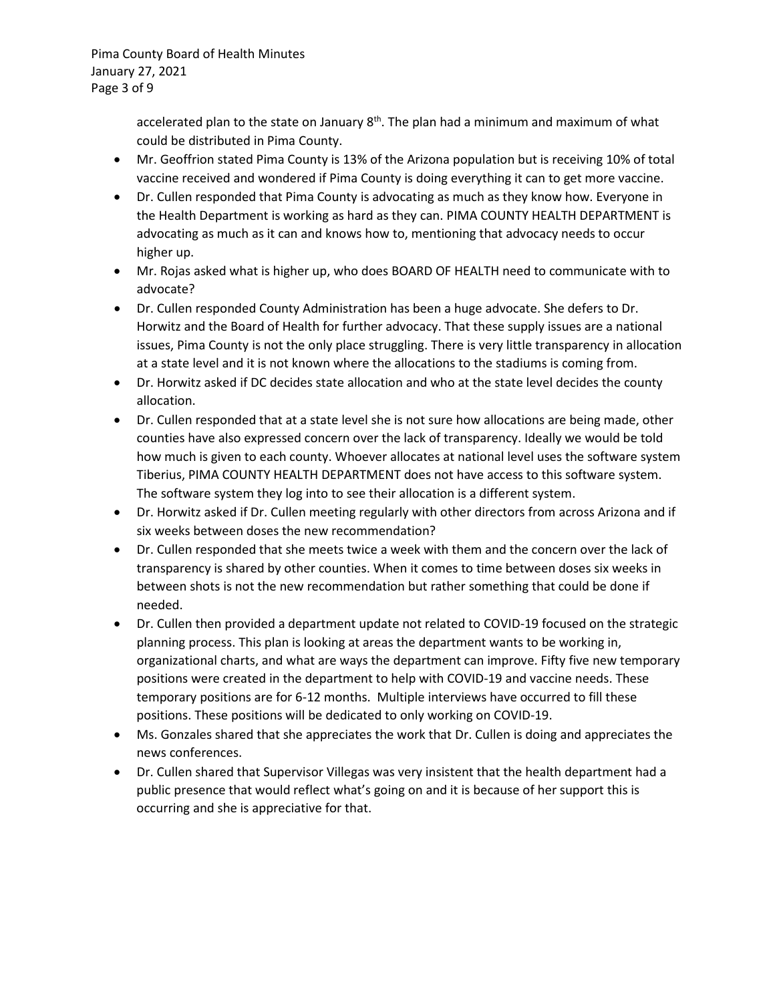Pima County Board of Health Minutes January 27, 2021 Page 3 of 9

> accelerated plan to the state on January  $8<sup>th</sup>$ . The plan had a minimum and maximum of what could be distributed in Pima County.

- Mr. Geoffrion stated Pima County is 13% of the Arizona population but is receiving 10% of total vaccine received and wondered if Pima County is doing everything it can to get more vaccine.
- Dr. Cullen responded that Pima County is advocating as much as they know how. Everyone in the Health Department is working as hard as they can. PIMA COUNTY HEALTH DEPARTMENT is advocating as much as it can and knows how to, mentioning that advocacy needs to occur higher up.
- Mr. Rojas asked what is higher up, who does BOARD OF HEALTH need to communicate with to advocate?
- Dr. Cullen responded County Administration has been a huge advocate. She defers to Dr. Horwitz and the Board of Health for further advocacy. That these supply issues are a national issues, Pima County is not the only place struggling. There is very little transparency in allocation at a state level and it is not known where the allocations to the stadiums is coming from.
- Dr. Horwitz asked if DC decides state allocation and who at the state level decides the county allocation.
- Dr. Cullen responded that at a state level she is not sure how allocations are being made, other counties have also expressed concern over the lack of transparency. Ideally we would be told how much is given to each county. Whoever allocates at national level uses the software system Tiberius, PIMA COUNTY HEALTH DEPARTMENT does not have access to this software system. The software system they log into to see their allocation is a different system.
- Dr. Horwitz asked if Dr. Cullen meeting regularly with other directors from across Arizona and if six weeks between doses the new recommendation?
- Dr. Cullen responded that she meets twice a week with them and the concern over the lack of transparency is shared by other counties. When it comes to time between doses six weeks in between shots is not the new recommendation but rather something that could be done if needed.
- Dr. Cullen then provided a department update not related to COVID-19 focused on the strategic planning process. This plan is looking at areas the department wants to be working in, organizational charts, and what are ways the department can improve. Fifty five new temporary positions were created in the department to help with COVID-19 and vaccine needs. These temporary positions are for 6-12 months. Multiple interviews have occurred to fill these positions. These positions will be dedicated to only working on COVID-19.
- Ms. Gonzales shared that she appreciates the work that Dr. Cullen is doing and appreciates the news conferences.
- Dr. Cullen shared that Supervisor Villegas was very insistent that the health department had a public presence that would reflect what's going on and it is because of her support this is occurring and she is appreciative for that.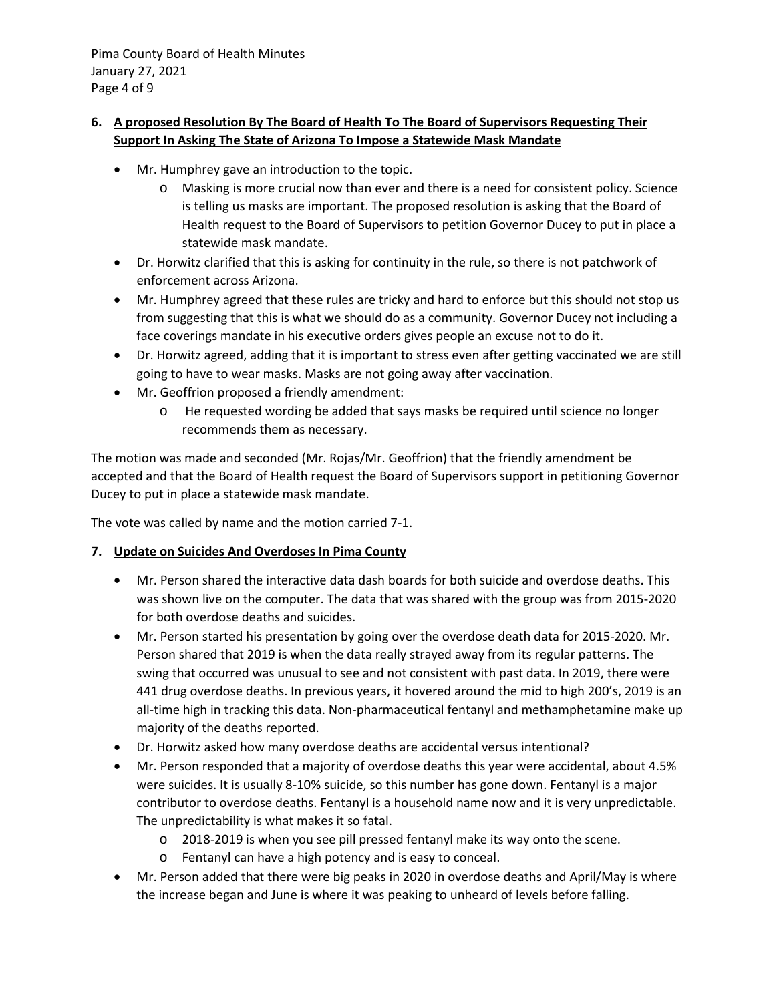Pima County Board of Health Minutes January 27, 2021 Page 4 of 9

# **6. A proposed Resolution By The Board of Health To The Board of Supervisors Requesting Their Support In Asking The State of Arizona To Impose a Statewide Mask Mandate**

- Mr. Humphrey gave an introduction to the topic.
	- o Masking is more crucial now than ever and there is a need for consistent policy. Science is telling us masks are important. The proposed resolution is asking that the Board of Health request to the Board of Supervisors to petition Governor Ducey to put in place a statewide mask mandate.
- Dr. Horwitz clarified that this is asking for continuity in the rule, so there is not patchwork of enforcement across Arizona.
- Mr. Humphrey agreed that these rules are tricky and hard to enforce but this should not stop us from suggesting that this is what we should do as a community. Governor Ducey not including a face coverings mandate in his executive orders gives people an excuse not to do it.
- Dr. Horwitz agreed, adding that it is important to stress even after getting vaccinated we are still going to have to wear masks. Masks are not going away after vaccination.
- Mr. Geoffrion proposed a friendly amendment:
	- o He requested wording be added that says masks be required until science no longer recommends them as necessary.

The motion was made and seconded (Mr. Rojas/Mr. Geoffrion) that the friendly amendment be accepted and that the Board of Health request the Board of Supervisors support in petitioning Governor Ducey to put in place a statewide mask mandate.

The vote was called by name and the motion carried 7-1.

## **7. Update on Suicides And Overdoses In Pima County**

- Mr. Person shared the interactive data dash boards for both suicide and overdose deaths. This was shown live on the computer. The data that was shared with the group was from 2015-2020 for both overdose deaths and suicides.
- Mr. Person started his presentation by going over the overdose death data for 2015-2020. Mr. Person shared that 2019 is when the data really strayed away from its regular patterns. The swing that occurred was unusual to see and not consistent with past data. In 2019, there were 441 drug overdose deaths. In previous years, it hovered around the mid to high 200's, 2019 is an all-time high in tracking this data. Non-pharmaceutical fentanyl and methamphetamine make up majority of the deaths reported.
- Dr. Horwitz asked how many overdose deaths are accidental versus intentional?
- Mr. Person responded that a majority of overdose deaths this year were accidental, about 4.5% were suicides. It is usually 8-10% suicide, so this number has gone down. Fentanyl is a major contributor to overdose deaths. Fentanyl is a household name now and it is very unpredictable. The unpredictability is what makes it so fatal.
	- o 2018-2019 is when you see pill pressed fentanyl make its way onto the scene.
	- o Fentanyl can have a high potency and is easy to conceal.
- Mr. Person added that there were big peaks in 2020 in overdose deaths and April/May is where the increase began and June is where it was peaking to unheard of levels before falling.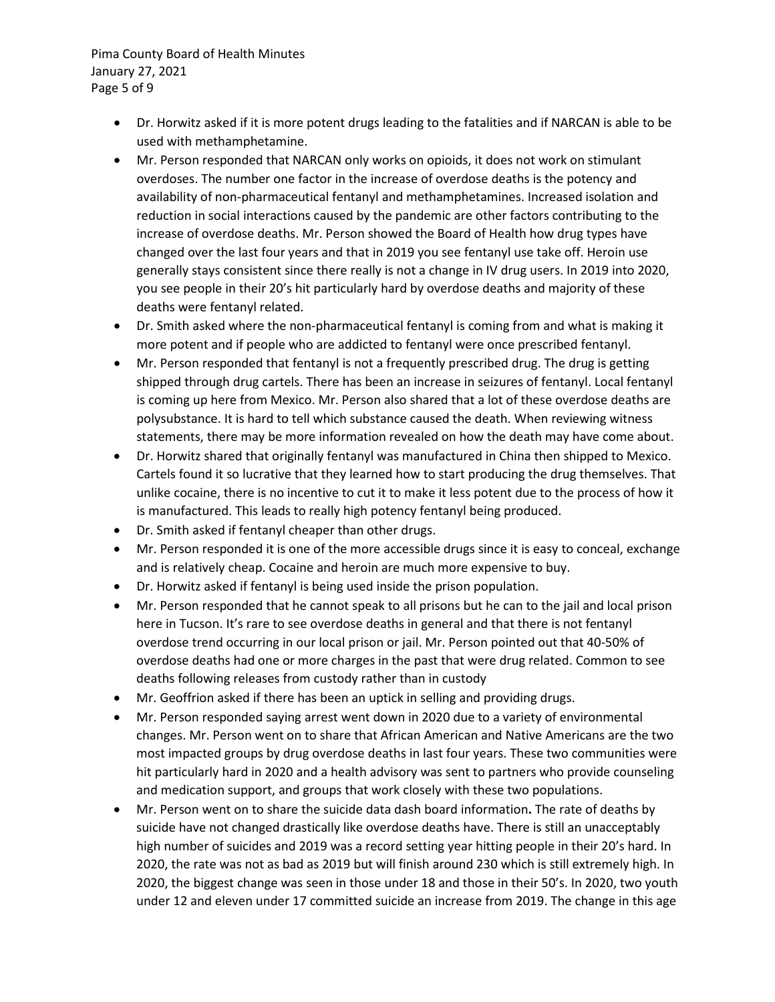Pima County Board of Health Minutes January 27, 2021 Page 5 of 9

- Dr. Horwitz asked if it is more potent drugs leading to the fatalities and if NARCAN is able to be used with methamphetamine.
- Mr. Person responded that NARCAN only works on opioids, it does not work on stimulant overdoses. The number one factor in the increase of overdose deaths is the potency and availability of non-pharmaceutical fentanyl and methamphetamines. Increased isolation and reduction in social interactions caused by the pandemic are other factors contributing to the increase of overdose deaths. Mr. Person showed the Board of Health how drug types have changed over the last four years and that in 2019 you see fentanyl use take off. Heroin use generally stays consistent since there really is not a change in IV drug users. In 2019 into 2020, you see people in their 20's hit particularly hard by overdose deaths and majority of these deaths were fentanyl related.
- Dr. Smith asked where the non-pharmaceutical fentanyl is coming from and what is making it more potent and if people who are addicted to fentanyl were once prescribed fentanyl.
- Mr. Person responded that fentanyl is not a frequently prescribed drug. The drug is getting shipped through drug cartels. There has been an increase in seizures of fentanyl. Local fentanyl is coming up here from Mexico. Mr. Person also shared that a lot of these overdose deaths are polysubstance. It is hard to tell which substance caused the death. When reviewing witness statements, there may be more information revealed on how the death may have come about.
- Dr. Horwitz shared that originally fentanyl was manufactured in China then shipped to Mexico. Cartels found it so lucrative that they learned how to start producing the drug themselves. That unlike cocaine, there is no incentive to cut it to make it less potent due to the process of how it is manufactured. This leads to really high potency fentanyl being produced.
- Dr. Smith asked if fentanyl cheaper than other drugs.
- Mr. Person responded it is one of the more accessible drugs since it is easy to conceal, exchange and is relatively cheap. Cocaine and heroin are much more expensive to buy.
- Dr. Horwitz asked if fentanyl is being used inside the prison population.
- Mr. Person responded that he cannot speak to all prisons but he can to the jail and local prison here in Tucson. It's rare to see overdose deaths in general and that there is not fentanyl overdose trend occurring in our local prison or jail. Mr. Person pointed out that 40-50% of overdose deaths had one or more charges in the past that were drug related. Common to see deaths following releases from custody rather than in custody
- Mr. Geoffrion asked if there has been an uptick in selling and providing drugs.
- Mr. Person responded saying arrest went down in 2020 due to a variety of environmental changes. Mr. Person went on to share that African American and Native Americans are the two most impacted groups by drug overdose deaths in last four years. These two communities were hit particularly hard in 2020 and a health advisory was sent to partners who provide counseling and medication support, and groups that work closely with these two populations.
- Mr. Person went on to share the suicide data dash board information**.** The rate of deaths by suicide have not changed drastically like overdose deaths have. There is still an unacceptably high number of suicides and 2019 was a record setting year hitting people in their 20's hard. In 2020, the rate was not as bad as 2019 but will finish around 230 which is still extremely high. In 2020, the biggest change was seen in those under 18 and those in their 50's. In 2020, two youth under 12 and eleven under 17 committed suicide an increase from 2019. The change in this age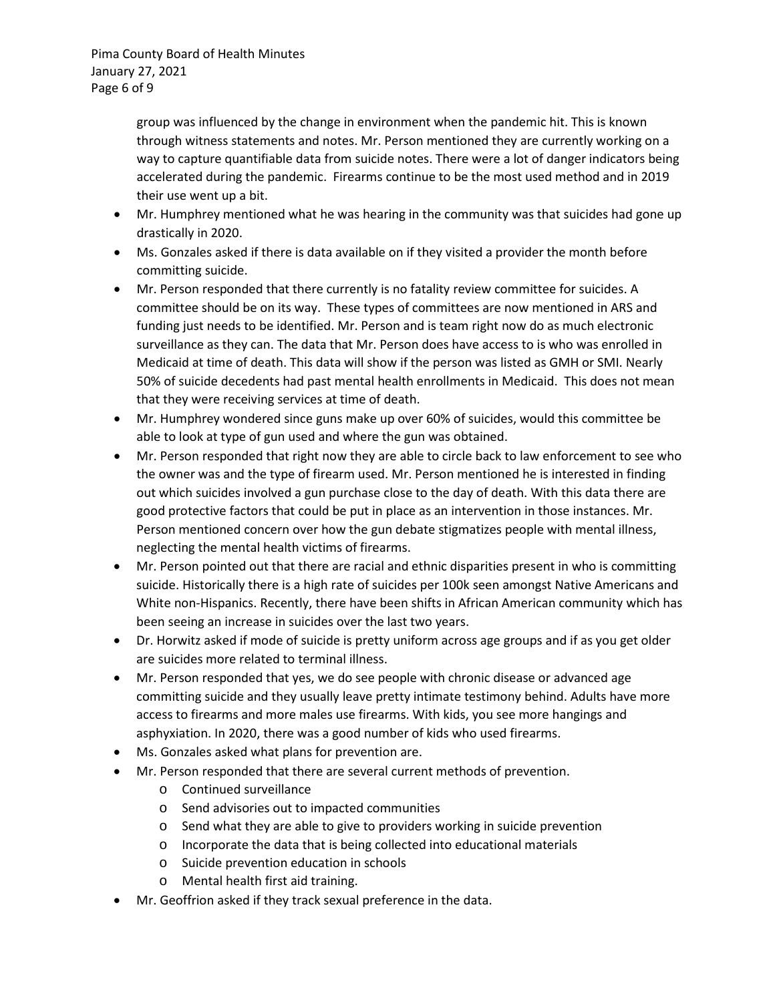Pima County Board of Health Minutes January 27, 2021 Page 6 of 9

> group was influenced by the change in environment when the pandemic hit. This is known through witness statements and notes. Mr. Person mentioned they are currently working on a way to capture quantifiable data from suicide notes. There were a lot of danger indicators being accelerated during the pandemic. Firearms continue to be the most used method and in 2019 their use went up a bit.

- Mr. Humphrey mentioned what he was hearing in the community was that suicides had gone up drastically in 2020.
- Ms. Gonzales asked if there is data available on if they visited a provider the month before committing suicide.
- Mr. Person responded that there currently is no fatality review committee for suicides. A committee should be on its way. These types of committees are now mentioned in ARS and funding just needs to be identified. Mr. Person and is team right now do as much electronic surveillance as they can. The data that Mr. Person does have access to is who was enrolled in Medicaid at time of death. This data will show if the person was listed as GMH or SMI. Nearly 50% of suicide decedents had past mental health enrollments in Medicaid. This does not mean that they were receiving services at time of death.
- Mr. Humphrey wondered since guns make up over 60% of suicides, would this committee be able to look at type of gun used and where the gun was obtained.
- Mr. Person responded that right now they are able to circle back to law enforcement to see who the owner was and the type of firearm used. Mr. Person mentioned he is interested in finding out which suicides involved a gun purchase close to the day of death. With this data there are good protective factors that could be put in place as an intervention in those instances. Mr. Person mentioned concern over how the gun debate stigmatizes people with mental illness, neglecting the mental health victims of firearms.
- Mr. Person pointed out that there are racial and ethnic disparities present in who is committing suicide. Historically there is a high rate of suicides per 100k seen amongst Native Americans and White non-Hispanics. Recently, there have been shifts in African American community which has been seeing an increase in suicides over the last two years.
- Dr. Horwitz asked if mode of suicide is pretty uniform across age groups and if as you get older are suicides more related to terminal illness.
- Mr. Person responded that yes, we do see people with chronic disease or advanced age committing suicide and they usually leave pretty intimate testimony behind. Adults have more access to firearms and more males use firearms. With kids, you see more hangings and asphyxiation. In 2020, there was a good number of kids who used firearms.
- Ms. Gonzales asked what plans for prevention are.
- Mr. Person responded that there are several current methods of prevention.
	- o Continued surveillance
	- o Send advisories out to impacted communities
	- o Send what they are able to give to providers working in suicide prevention
	- o Incorporate the data that is being collected into educational materials
	- o Suicide prevention education in schools
	- o Mental health first aid training.
- Mr. Geoffrion asked if they track sexual preference in the data.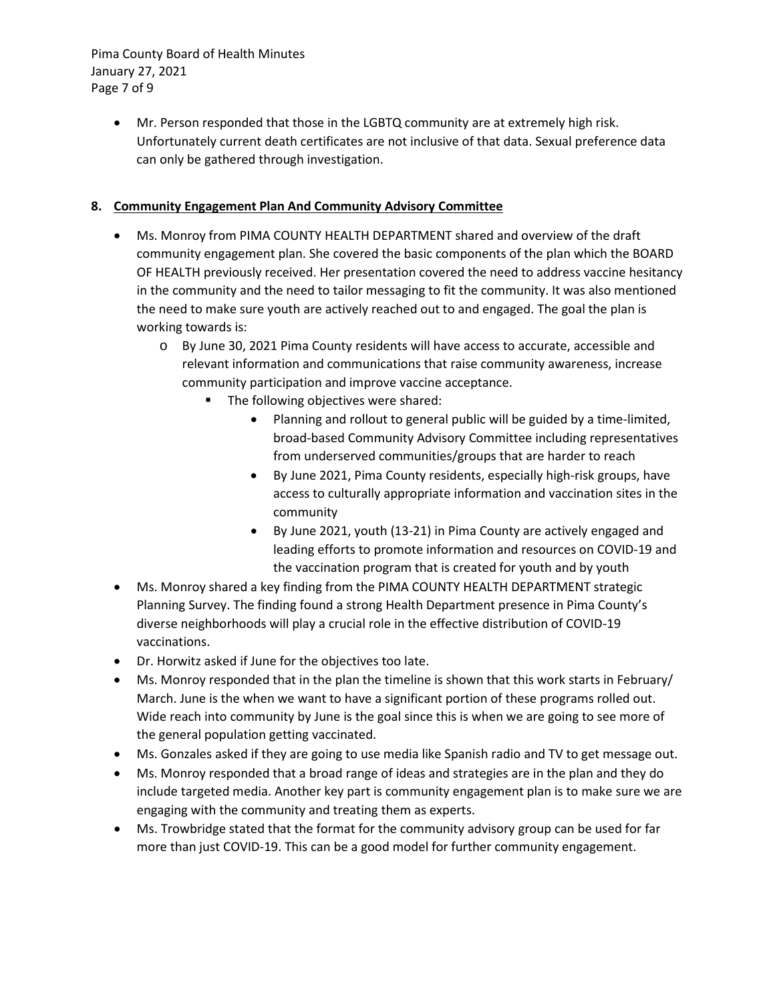Pima County Board of Health Minutes January 27, 2021 Page 7 of 9

> • Mr. Person responded that those in the LGBTQ community are at extremely high risk. Unfortunately current death certificates are not inclusive of that data. Sexual preference data can only be gathered through investigation.

# **8. Community Engagement Plan And Community Advisory Committee**

- Ms. Monroy from PIMA COUNTY HEALTH DEPARTMENT shared and overview of the draft community engagement plan. She covered the basic components of the plan which the BOARD OF HEALTH previously received. Her presentation covered the need to address vaccine hesitancy in the community and the need to tailor messaging to fit the community. It was also mentioned the need to make sure youth are actively reached out to and engaged. The goal the plan is working towards is:
	- o By June 30, 2021 Pima County residents will have access to accurate, accessible and relevant information and communications that raise community awareness, increase community participation and improve vaccine acceptance.
		- The following objectives were shared:
			- Planning and rollout to general public will be guided by a time-limited, broad-based Community Advisory Committee including representatives from underserved communities/groups that are harder to reach
			- By June 2021, Pima County residents, especially high-risk groups, have access to culturally appropriate information and vaccination sites in the community
			- By June 2021, youth (13-21) in Pima County are actively engaged and leading efforts to promote information and resources on COVID-19 and the vaccination program that is created for youth and by youth
- Ms. Monroy shared a key finding from the PIMA COUNTY HEALTH DEPARTMENT strategic Planning Survey. The finding found a strong Health Department presence in Pima County's diverse neighborhoods will play a crucial role in the effective distribution of COVID-19 vaccinations.
- Dr. Horwitz asked if June for the objectives too late.
- Ms. Monroy responded that in the plan the timeline is shown that this work starts in February/ March. June is the when we want to have a significant portion of these programs rolled out. Wide reach into community by June is the goal since this is when we are going to see more of the general population getting vaccinated.
- Ms. Gonzales asked if they are going to use media like Spanish radio and TV to get message out.
- Ms. Monroy responded that a broad range of ideas and strategies are in the plan and they do include targeted media. Another key part is community engagement plan is to make sure we are engaging with the community and treating them as experts.
- Ms. Trowbridge stated that the format for the community advisory group can be used for far more than just COVID-19. This can be a good model for further community engagement.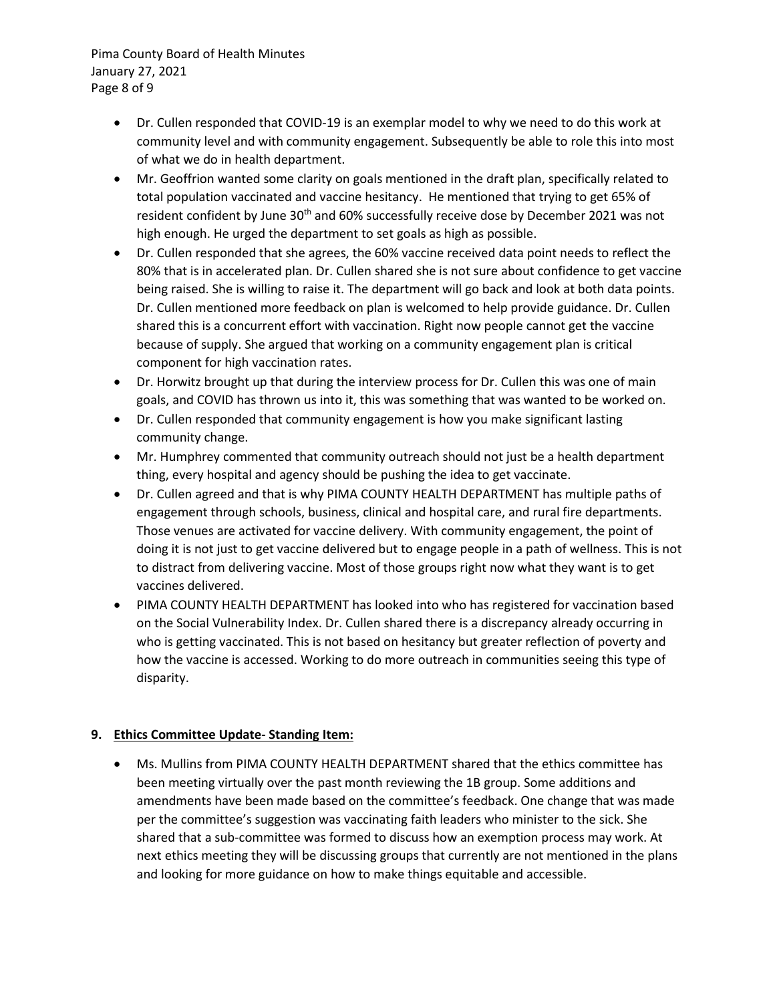Pima County Board of Health Minutes January 27, 2021 Page 8 of 9

- Dr. Cullen responded that COVID-19 is an exemplar model to why we need to do this work at community level and with community engagement. Subsequently be able to role this into most of what we do in health department.
- Mr. Geoffrion wanted some clarity on goals mentioned in the draft plan, specifically related to total population vaccinated and vaccine hesitancy. He mentioned that trying to get 65% of resident confident by June 30<sup>th</sup> and 60% successfully receive dose by December 2021 was not high enough. He urged the department to set goals as high as possible.
- Dr. Cullen responded that she agrees, the 60% vaccine received data point needs to reflect the 80% that is in accelerated plan. Dr. Cullen shared she is not sure about confidence to get vaccine being raised. She is willing to raise it. The department will go back and look at both data points. Dr. Cullen mentioned more feedback on plan is welcomed to help provide guidance. Dr. Cullen shared this is a concurrent effort with vaccination. Right now people cannot get the vaccine because of supply. She argued that working on a community engagement plan is critical component for high vaccination rates.
- Dr. Horwitz brought up that during the interview process for Dr. Cullen this was one of main goals, and COVID has thrown us into it, this was something that was wanted to be worked on.
- Dr. Cullen responded that community engagement is how you make significant lasting community change.
- Mr. Humphrey commented that community outreach should not just be a health department thing, every hospital and agency should be pushing the idea to get vaccinate.
- Dr. Cullen agreed and that is why PIMA COUNTY HEALTH DEPARTMENT has multiple paths of engagement through schools, business, clinical and hospital care, and rural fire departments. Those venues are activated for vaccine delivery. With community engagement, the point of doing it is not just to get vaccine delivered but to engage people in a path of wellness. This is not to distract from delivering vaccine. Most of those groups right now what they want is to get vaccines delivered.
- PIMA COUNTY HEALTH DEPARTMENT has looked into who has registered for vaccination based on the Social Vulnerability Index. Dr. Cullen shared there is a discrepancy already occurring in who is getting vaccinated. This is not based on hesitancy but greater reflection of poverty and how the vaccine is accessed. Working to do more outreach in communities seeing this type of disparity.

## **9. Ethics Committee Update- Standing Item:**

• Ms. Mullins from PIMA COUNTY HEALTH DEPARTMENT shared that the ethics committee has been meeting virtually over the past month reviewing the 1B group. Some additions and amendments have been made based on the committee's feedback. One change that was made per the committee's suggestion was vaccinating faith leaders who minister to the sick. She shared that a sub-committee was formed to discuss how an exemption process may work. At next ethics meeting they will be discussing groups that currently are not mentioned in the plans and looking for more guidance on how to make things equitable and accessible.